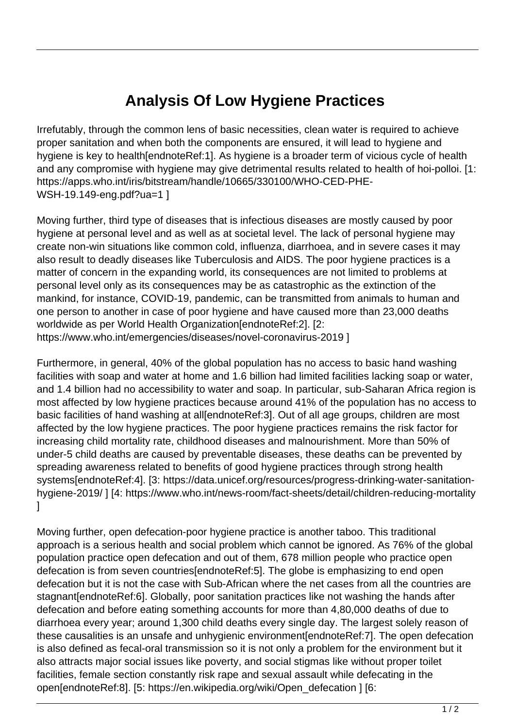## **Analysis Of Low Hygiene Practices**

Irrefutably, through the common lens of basic necessities, clean water is required to achieve proper sanitation and when both the components are ensured, it will lead to hygiene and hygiene is key to health[endnoteRef:1]. As hygiene is a broader term of vicious cycle of health and any compromise with hygiene may give detrimental results related to health of hoi-polloi. [1: https://apps.who.int/iris/bitstream/handle/10665/330100/WHO-CED-PHE-WSH-19.149-eng.pdf?ua=1 ]

Moving further, third type of diseases that is infectious diseases are mostly caused by poor hygiene at personal level and as well as at societal level. The lack of personal hygiene may create non-win situations like common cold, influenza, diarrhoea, and in severe cases it may also result to deadly diseases like Tuberculosis and AIDS. The poor hygiene practices is a matter of concern in the expanding world, its consequences are not limited to problems at personal level only as its consequences may be as catastrophic as the extinction of the mankind, for instance, COVID-19, pandemic, can be transmitted from animals to human and one person to another in case of poor hygiene and have caused more than 23,000 deaths worldwide as per World Health Organization[endnoteRef:2]. [2: https://www.who.int/emergencies/diseases/novel-coronavirus-2019 ]

Furthermore, in general, 40% of the global population has no access to basic hand washing facilities with soap and water at home and 1.6 billion had limited facilities lacking soap or water, and 1.4 billion had no accessibility to water and soap. In particular, sub-Saharan Africa region is most affected by low hygiene practices because around 41% of the population has no access to basic facilities of hand washing at all[endnoteRef:3]. Out of all age groups, children are most affected by the low hygiene practices. The poor hygiene practices remains the risk factor for increasing child mortality rate, childhood diseases and malnourishment. More than 50% of under-5 child deaths are caused by preventable diseases, these deaths can be prevented by spreading awareness related to benefits of good hygiene practices through strong health systems[endnoteRef:4]. [3: https://data.unicef.org/resources/progress-drinking-water-sanitationhygiene-2019/ ] [4: https://www.who.int/news-room/fact-sheets/detail/children-reducing-mortality ]

Moving further, open defecation-poor hygiene practice is another taboo. This traditional approach is a serious health and social problem which cannot be ignored. As 76% of the global population practice open defecation and out of them, 678 million people who practice open defecation is from seven countries[endnoteRef:5]. The globe is emphasizing to end open defecation but it is not the case with Sub-African where the net cases from all the countries are stagnant[endnoteRef:6]. Globally, poor sanitation practices like not washing the hands after defecation and before eating something accounts for more than 4,80,000 deaths of due to diarrhoea every year; around 1,300 child deaths every single day. The largest solely reason of these causalities is an unsafe and unhygienic environment[endnoteRef:7]. The open defecation is also defined as fecal-oral transmission so it is not only a problem for the environment but it also attracts major social issues like poverty, and social stigmas like without proper toilet facilities, female section constantly risk rape and sexual assault while defecating in the open[endnoteRef:8]. [5: https://en.wikipedia.org/wiki/Open\_defecation ] [6: